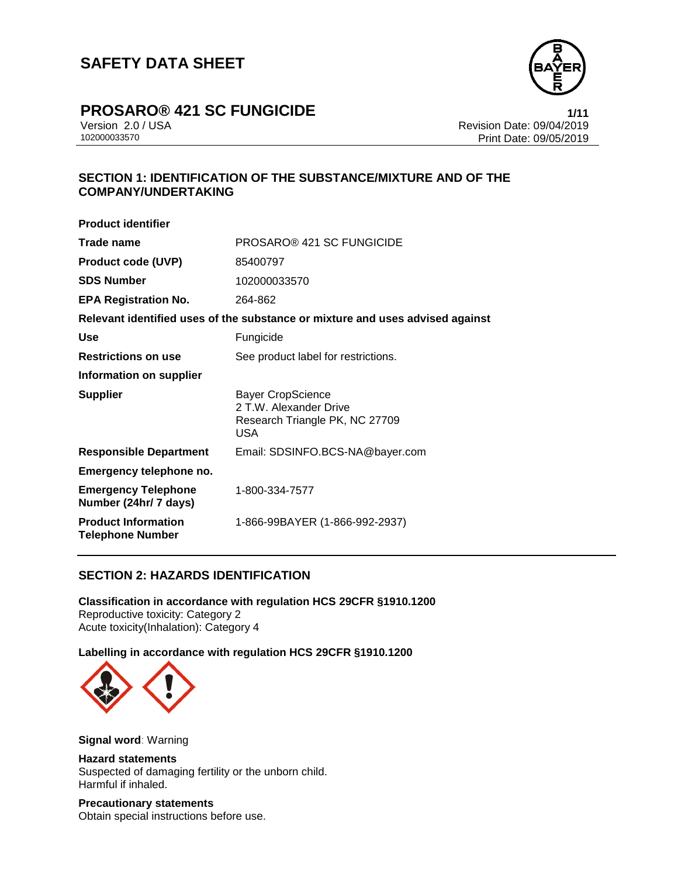

# **PROSARO®** 421 SC FUNGICIDE **1/11**

Version 2.0 / USA Revision Date: 09/04/2019<br>102000033570 Print Date: 09/04/2019 Print Date: 09/05/2019

# **SECTION 1: IDENTIFICATION OF THE SUBSTANCE/MIXTURE AND OF THE COMPANY/UNDERTAKING**

| <b>Product identifier</b>                             |                                                                                             |
|-------------------------------------------------------|---------------------------------------------------------------------------------------------|
| Trade name                                            | PROSARO® 421 SC FUNGICIDE                                                                   |
| <b>Product code (UVP)</b>                             | 85400797                                                                                    |
| <b>SDS Number</b>                                     | 102000033570                                                                                |
| <b>EPA Registration No.</b>                           | 264-862                                                                                     |
|                                                       | Relevant identified uses of the substance or mixture and uses advised against               |
| <b>Use</b>                                            | Fungicide                                                                                   |
| <b>Restrictions on use</b>                            | See product label for restrictions.                                                         |
| Information on supplier                               |                                                                                             |
| <b>Supplier</b>                                       | <b>Bayer CropScience</b><br>2 T.W. Alexander Drive<br>Research Triangle PK, NC 27709<br>USA |
| <b>Responsible Department</b>                         | Email: SDSINFO.BCS-NA@bayer.com                                                             |
| Emergency telephone no.                               |                                                                                             |
| <b>Emergency Telephone</b><br>Number (24hr/ 7 days)   | 1-800-334-7577                                                                              |
| <b>Product Information</b><br><b>Telephone Number</b> | 1-866-99BAYER (1-866-992-2937)                                                              |

# **SECTION 2: HAZARDS IDENTIFICATION**

**Classification in accordance with regulation HCS 29CFR §1910.1200** Reproductive toxicity: Category 2 Acute toxicity(Inhalation): Category 4

# **Labelling in accordance with regulation HCS 29CFR §1910.1200**



**Signal word**: Warning

# **Hazard statements**

Suspected of damaging fertility or the unborn child. Harmful if inhaled.

**Precautionary statements** Obtain special instructions before use.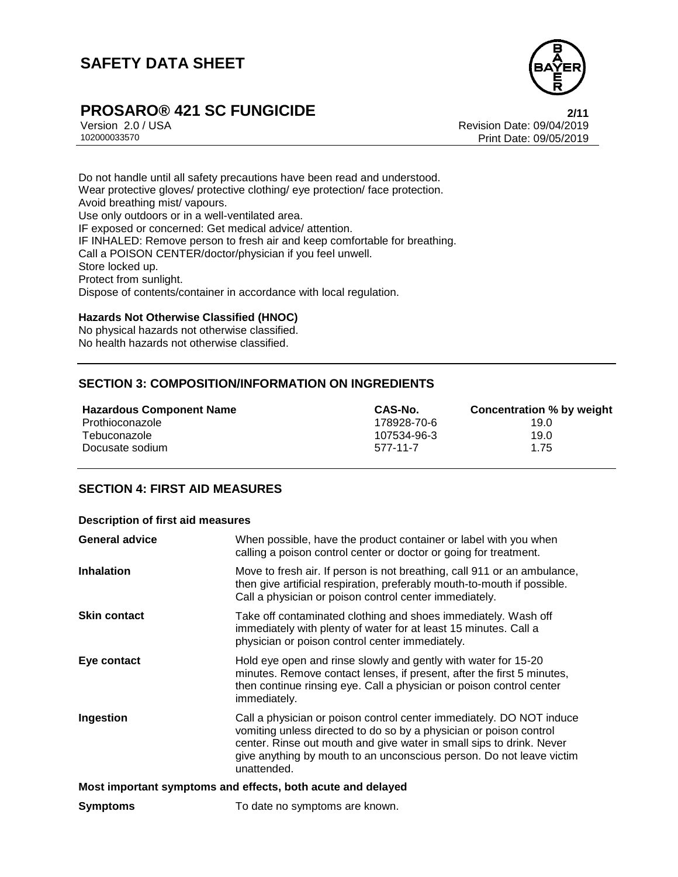

# **PROSARO®** 421 SC FUNGICIDE<br>Version 2.0 / USA **PROSARO®** 421 SC FUNGICIDE

Version 2.0 / USA Revision Date: 09/04/2019<br>102000033570 Print Date: 09/04/2019 Print Date: 09/05/2019

Do not handle until all safety precautions have been read and understood. Wear protective gloves/ protective clothing/ eye protection/ face protection. Avoid breathing mist/ vapours. Use only outdoors or in a well-ventilated area. IF exposed or concerned: Get medical advice/ attention. IF INHALED: Remove person to fresh air and keep comfortable for breathing. Call a POISON CENTER/doctor/physician if you feel unwell. Store locked up. Protect from sunlight. Dispose of contents/container in accordance with local regulation.

# **Hazards Not Otherwise Classified (HNOC)**

No physical hazards not otherwise classified. No health hazards not otherwise classified.

# **SECTION 3: COMPOSITION/INFORMATION ON INGREDIENTS**

| <b>Hazardous Component Name</b> | CAS-No.     | Concentration % by weight |
|---------------------------------|-------------|---------------------------|
| Prothioconazole                 | 178928-70-6 | 19.0                      |
| Tebuconazole                    | 107534-96-3 | 19.0                      |
| Docusate sodium                 | 577-11-7    | 1.75                      |

# **SECTION 4: FIRST AID MEASURES**

#### **Description of first aid measures**

| <b>General advice</b>                                       | When possible, have the product container or label with you when<br>calling a poison control center or doctor or going for treatment.                                                                                                                                                                     |  |
|-------------------------------------------------------------|-----------------------------------------------------------------------------------------------------------------------------------------------------------------------------------------------------------------------------------------------------------------------------------------------------------|--|
| <b>Inhalation</b>                                           | Move to fresh air. If person is not breathing, call 911 or an ambulance,<br>then give artificial respiration, preferably mouth-to-mouth if possible.<br>Call a physician or poison control center immediately.                                                                                            |  |
| <b>Skin contact</b>                                         | Take off contaminated clothing and shoes immediately. Wash off<br>immediately with plenty of water for at least 15 minutes. Call a<br>physician or poison control center immediately.                                                                                                                     |  |
| Eye contact                                                 | Hold eye open and rinse slowly and gently with water for 15-20<br>minutes. Remove contact lenses, if present, after the first 5 minutes,<br>then continue rinsing eye. Call a physician or poison control center<br>immediately.                                                                          |  |
| Ingestion                                                   | Call a physician or poison control center immediately. DO NOT induce<br>vomiting unless directed to do so by a physician or poison control<br>center. Rinse out mouth and give water in small sips to drink. Never<br>give anything by mouth to an unconscious person. Do not leave victim<br>unattended. |  |
| Most important symptoms and effects, both acute and delayed |                                                                                                                                                                                                                                                                                                           |  |
| <b>Symptoms</b>                                             | To date no symptoms are known.                                                                                                                                                                                                                                                                            |  |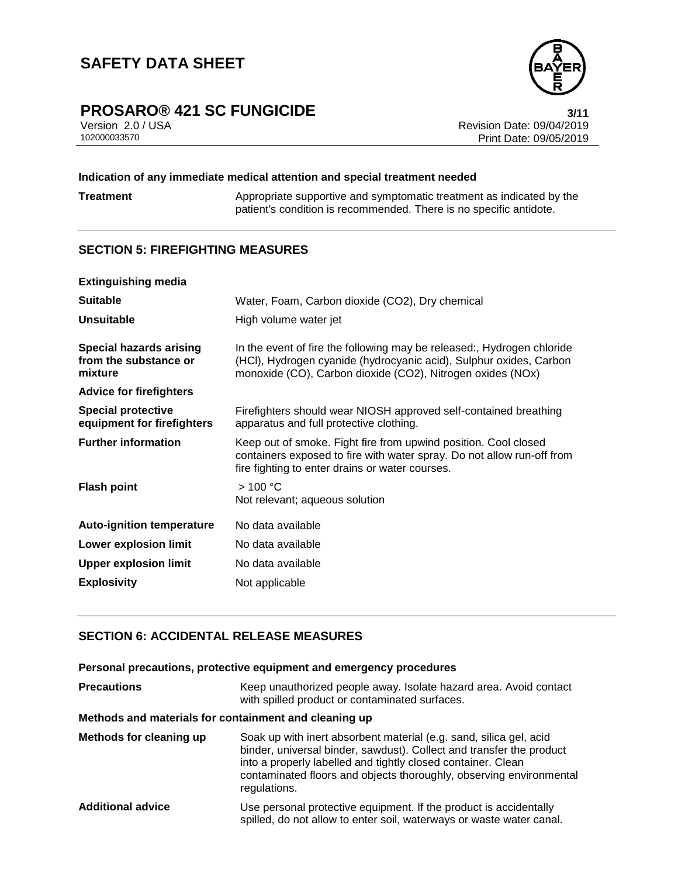

# **PROSARO®** 421 SC FUNGICIDE<br>Version 2.0 / USA **111**<br>Revision Date: 09/04/2019

Version 2.0 / USA Revision Date: 09/04/2019 Print Date: 09/05/2019

# **Indication of any immediate medical attention and special treatment needed**

**Treatment** Appropriate supportive and symptomatic treatment as indicated by the patient's condition is recommended. There is no specific antidote.

# **SECTION 5: FIREFIGHTING MEASURES**

| <b>Extinguishing media</b>                                         |                                                                                                                                                                                                            |
|--------------------------------------------------------------------|------------------------------------------------------------------------------------------------------------------------------------------------------------------------------------------------------------|
| <b>Suitable</b>                                                    | Water, Foam, Carbon dioxide (CO2), Dry chemical                                                                                                                                                            |
| <b>Unsuitable</b>                                                  | High volume water jet                                                                                                                                                                                      |
| <b>Special hazards arising</b><br>from the substance or<br>mixture | In the event of fire the following may be released:, Hydrogen chloride<br>(HCI), Hydrogen cyanide (hydrocyanic acid), Sulphur oxides, Carbon<br>monoxide (CO), Carbon dioxide (CO2), Nitrogen oxides (NOx) |
| <b>Advice for firefighters</b>                                     |                                                                                                                                                                                                            |
| <b>Special protective</b><br>equipment for firefighters            | Firefighters should wear NIOSH approved self-contained breathing<br>apparatus and full protective clothing.                                                                                                |
| <b>Further information</b>                                         | Keep out of smoke. Fight fire from upwind position. Cool closed<br>containers exposed to fire with water spray. Do not allow run-off from<br>fire fighting to enter drains or water courses.               |
| <b>Flash point</b>                                                 | >100 °C<br>Not relevant; aqueous solution                                                                                                                                                                  |
| <b>Auto-ignition temperature</b>                                   | No data available                                                                                                                                                                                          |
| Lower explosion limit                                              | No data available                                                                                                                                                                                          |
| <b>Upper explosion limit</b>                                       | No data available                                                                                                                                                                                          |
| <b>Explosivity</b>                                                 | Not applicable                                                                                                                                                                                             |

# **SECTION 6: ACCIDENTAL RELEASE MEASURES**

### **Personal precautions, protective equipment and emergency procedures**

| <b>Precautions</b>       | Keep unauthorized people away. Isolate hazard area. Avoid contact<br>with spilled product or contaminated surfaces.                                                                                                                                                                               |
|--------------------------|---------------------------------------------------------------------------------------------------------------------------------------------------------------------------------------------------------------------------------------------------------------------------------------------------|
|                          | Methods and materials for containment and cleaning up                                                                                                                                                                                                                                             |
| Methods for cleaning up  | Soak up with inert absorbent material (e.g. sand, silica gel, acid<br>binder, universal binder, sawdust). Collect and transfer the product<br>into a properly labelled and tightly closed container. Clean<br>contaminated floors and objects thoroughly, observing environmental<br>regulations. |
| <b>Additional advice</b> | Use personal protective equipment. If the product is accidentally<br>spilled, do not allow to enter soil, waterways or waste water canal.                                                                                                                                                         |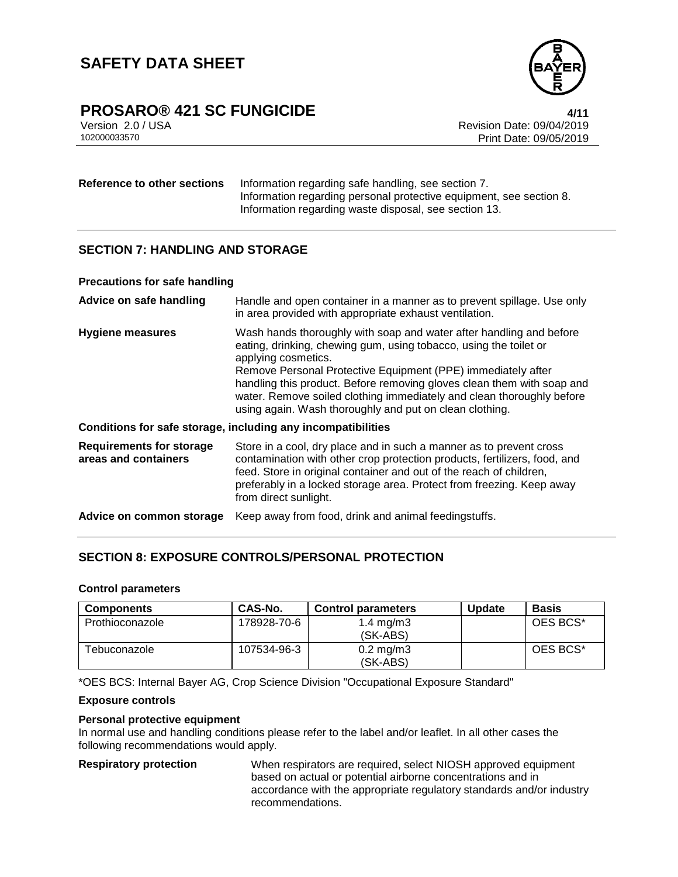

# **PROSARO® 421 SC FUNGICIDE 4/11**

Version 2.0 / USA Revision Date: 09/04/2019<br>102000033570 Print Date: 09/04/2019 Print Date: 09/05/2019

**Reference to other sections** Information regarding safe handling, see section 7. Information regarding personal protective equipment, see section 8. Information regarding waste disposal, see section 13.

# **SECTION 7: HANDLING AND STORAGE**

#### **Precautions for safe handling**

| Advice on safe handling                                 | Handle and open container in a manner as to prevent spillage. Use only<br>in area provided with appropriate exhaust ventilation.                                                                                                                                                                                                                                                                                                              |
|---------------------------------------------------------|-----------------------------------------------------------------------------------------------------------------------------------------------------------------------------------------------------------------------------------------------------------------------------------------------------------------------------------------------------------------------------------------------------------------------------------------------|
| <b>Hygiene measures</b>                                 | Wash hands thoroughly with soap and water after handling and before<br>eating, drinking, chewing gum, using tobacco, using the toilet or<br>applying cosmetics.<br>Remove Personal Protective Equipment (PPE) immediately after<br>handling this product. Before removing gloves clean them with soap and<br>water. Remove soiled clothing immediately and clean thoroughly before<br>using again. Wash thoroughly and put on clean clothing. |
|                                                         | Conditions for safe storage, including any incompatibilities                                                                                                                                                                                                                                                                                                                                                                                  |
| <b>Requirements for storage</b><br>areas and containers | Store in a cool, dry place and in such a manner as to prevent cross<br>contamination with other crop protection products, fertilizers, food, and<br>feed. Store in original container and out of the reach of children,<br>preferably in a locked storage area. Protect from freezing. Keep away<br>from direct sunlight.                                                                                                                     |
| Advice on common storage                                | Keep away from food, drink and animal feedingstuffs.                                                                                                                                                                                                                                                                                                                                                                                          |

# **SECTION 8: EXPOSURE CONTROLS/PERSONAL PROTECTION**

### **Control parameters**

| <b>Components</b> | CAS-No.     | <b>Control parameters</b>        | <b>Update</b> | <b>Basis</b> |
|-------------------|-------------|----------------------------------|---------------|--------------|
| Prothioconazole   | 178928-70-6 | 1.4 mg/m $3$<br>(SK-ABS)         |               | OES BCS*     |
| Tebuconazole      | 107534-96-3 | $0.2 \text{ mg/m}$ 3<br>(SK-ABS) |               | OES BCS*     |

\*OES BCS: Internal Bayer AG, Crop Science Division "Occupational Exposure Standard"

### **Exposure controls**

### **Personal protective equipment**

In normal use and handling conditions please refer to the label and/or leaflet. In all other cases the following recommendations would apply.

**Respiratory protection** When respirators are required, select NIOSH approved equipment based on actual or potential airborne concentrations and in accordance with the appropriate regulatory standards and/or industry recommendations.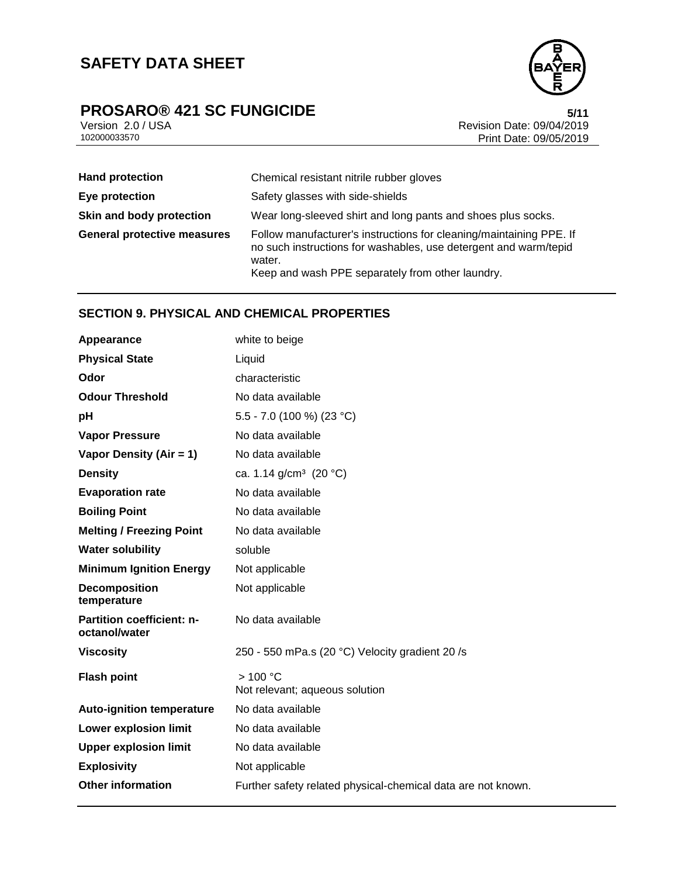# **SAFETY DATA SHEET**



# **PROSARO®** 421 SC FUNGICIDE<br>Version 2.0 / USA **1201 SC FUNGICIDE**<br>Revision Date: 09/04/2019

Version 2.0 / USA Revision Date: 09/04/2019 Print Date: 09/05/2019

| <b>Hand protection</b>             | Chemical resistant nitrile rubber gloves                                                                                                                                                              |
|------------------------------------|-------------------------------------------------------------------------------------------------------------------------------------------------------------------------------------------------------|
| Eye protection                     | Safety glasses with side-shields                                                                                                                                                                      |
| Skin and body protection           | Wear long-sleeved shirt and long pants and shoes plus socks.                                                                                                                                          |
| <b>General protective measures</b> | Follow manufacturer's instructions for cleaning/maintaining PPE. If<br>no such instructions for washables, use detergent and warm/tepid<br>water.<br>Keep and wash PPE separately from other laundry. |

# **SECTION 9. PHYSICAL AND CHEMICAL PROPERTIES**

| Appearance                                        | white to beige                                               |
|---------------------------------------------------|--------------------------------------------------------------|
| <b>Physical State</b>                             | Liquid                                                       |
| Odor                                              | characteristic                                               |
| <b>Odour Threshold</b>                            | No data available                                            |
| рH                                                | 5.5 - 7.0 (100 %) (23 °C)                                    |
| <b>Vapor Pressure</b>                             | No data available                                            |
| Vapor Density (Air = 1)                           | No data available                                            |
| <b>Density</b>                                    | ca. 1.14 $g/cm^3$ (20 °C)                                    |
| <b>Evaporation rate</b>                           | No data available                                            |
| <b>Boiling Point</b>                              | No data available                                            |
| <b>Melting / Freezing Point</b>                   | No data available                                            |
| <b>Water solubility</b>                           | soluble                                                      |
| <b>Minimum Ignition Energy</b>                    | Not applicable                                               |
| <b>Decomposition</b><br>temperature               | Not applicable                                               |
| <b>Partition coefficient: n-</b><br>octanol/water | No data available                                            |
| <b>Viscosity</b>                                  | 250 - 550 mPa.s (20 °C) Velocity gradient 20 /s              |
| <b>Flash point</b>                                | >100 °C<br>Not relevant; aqueous solution                    |
| <b>Auto-ignition temperature</b>                  | No data available                                            |
| Lower explosion limit                             | No data available                                            |
| <b>Upper explosion limit</b>                      | No data available                                            |
| <b>Explosivity</b>                                | Not applicable                                               |
| <b>Other information</b>                          | Further safety related physical-chemical data are not known. |
|                                                   |                                                              |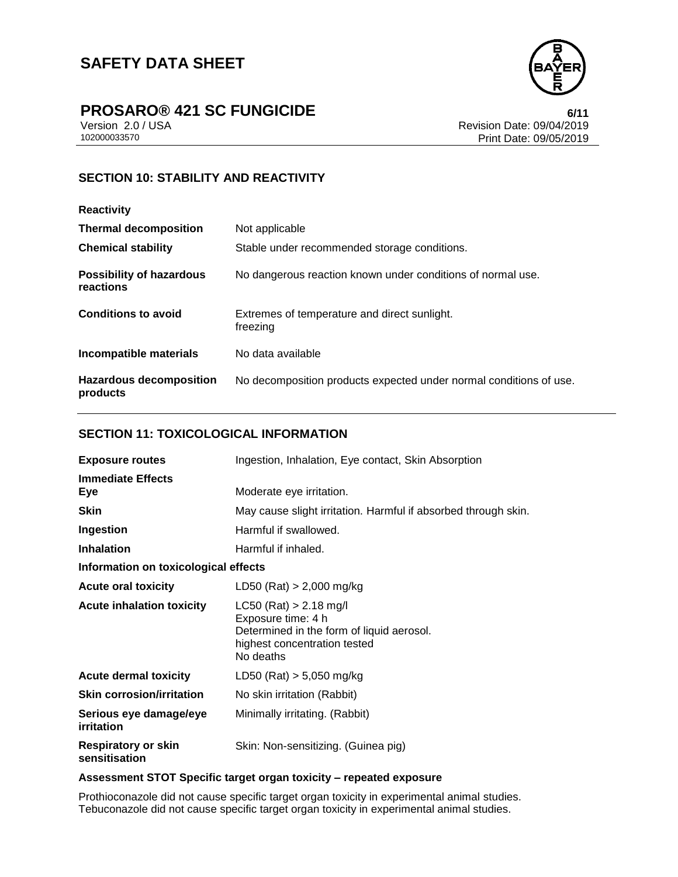

# **PROSARO®** 421 SC FUNGICIDE<br>Version 2.0 / USA **6/11**<br>Revision Date: 09/04/2019

Version 2.0 / USA Revision Date: 09/04/2019 Print Date: 09/05/2019

# **SECTION 10: STABILITY AND REACTIVITY**

| <b>Reactivity</b>                            |                                                                    |
|----------------------------------------------|--------------------------------------------------------------------|
| <b>Thermal decomposition</b>                 | Not applicable                                                     |
| <b>Chemical stability</b>                    | Stable under recommended storage conditions.                       |
| <b>Possibility of hazardous</b><br>reactions | No dangerous reaction known under conditions of normal use.        |
| <b>Conditions to avoid</b>                   | Extremes of temperature and direct sunlight.<br>freezing           |
| Incompatible materials                       | No data available                                                  |
| <b>Hazardous decomposition</b><br>products   | No decomposition products expected under normal conditions of use. |

# **SECTION 11: TOXICOLOGICAL INFORMATION**

| <b>Exposure routes</b>                      | Ingestion, Inhalation, Eye contact, Skin Absorption                                                                                      |  |
|---------------------------------------------|------------------------------------------------------------------------------------------------------------------------------------------|--|
| <b>Immediate Effects</b><br>Eye             | Moderate eye irritation.                                                                                                                 |  |
| <b>Skin</b>                                 | May cause slight irritation. Harmful if absorbed through skin.                                                                           |  |
| Ingestion                                   | Harmful if swallowed.                                                                                                                    |  |
| <b>Inhalation</b>                           | Harmful if inhaled.                                                                                                                      |  |
| Information on toxicological effects        |                                                                                                                                          |  |
| <b>Acute oral toxicity</b>                  | $LD50$ (Rat) > 2,000 mg/kg                                                                                                               |  |
| <b>Acute inhalation toxicity</b>            | $LC50$ (Rat) > 2.18 mg/l<br>Exposure time: 4 h<br>Determined in the form of liquid aerosol.<br>highest concentration tested<br>No deaths |  |
| <b>Acute dermal toxicity</b>                | LD50 (Rat) $> 5,050$ mg/kg                                                                                                               |  |
| <b>Skin corrosion/irritation</b>            | No skin irritation (Rabbit)                                                                                                              |  |
| Serious eye damage/eye<br>irritation        | Minimally irritating. (Rabbit)                                                                                                           |  |
| <b>Respiratory or skin</b><br>sensitisation | Skin: Non-sensitizing. (Guinea pig)                                                                                                      |  |

# **Assessment STOT Specific target organ toxicity – repeated exposure**

Prothioconazole did not cause specific target organ toxicity in experimental animal studies. Tebuconazole did not cause specific target organ toxicity in experimental animal studies.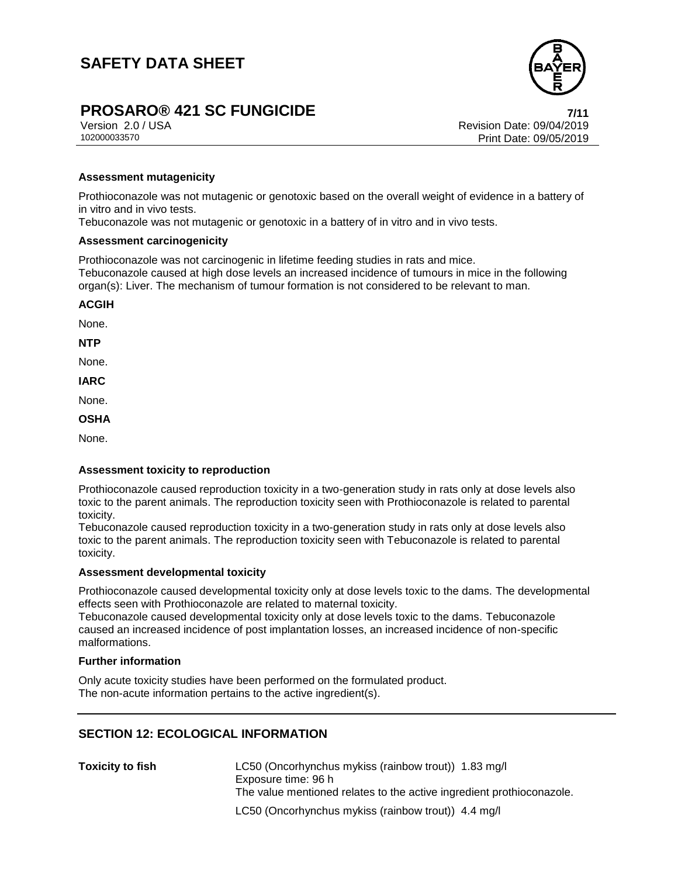

# **PROSARO®** 421 SC FUNGICIDE<br>Version 2.0/USA *T***/11**<br>Revision Date: 09/04/2019

Version 2.0 / USA Revision Date: 09/04/2019<br>102000033570 Print Date: 09/04/2019 Print Date: 09/05/2019

## **Assessment mutagenicity**

Prothioconazole was not mutagenic or genotoxic based on the overall weight of evidence in a battery of in vitro and in vivo tests.

Tebuconazole was not mutagenic or genotoxic in a battery of in vitro and in vivo tests.

#### **Assessment carcinogenicity**

Prothioconazole was not carcinogenic in lifetime feeding studies in rats and mice. Tebuconazole caused at high dose levels an increased incidence of tumours in mice in the following organ(s): Liver. The mechanism of tumour formation is not considered to be relevant to man.

**ACGIH**

None.

**NTP**

None.

**IARC**

None.

**OSHA**

None.

### **Assessment toxicity to reproduction**

Prothioconazole caused reproduction toxicity in a two-generation study in rats only at dose levels also toxic to the parent animals. The reproduction toxicity seen with Prothioconazole is related to parental toxicity.

Tebuconazole caused reproduction toxicity in a two-generation study in rats only at dose levels also toxic to the parent animals. The reproduction toxicity seen with Tebuconazole is related to parental toxicity.

#### **Assessment developmental toxicity**

Prothioconazole caused developmental toxicity only at dose levels toxic to the dams. The developmental effects seen with Prothioconazole are related to maternal toxicity.

Tebuconazole caused developmental toxicity only at dose levels toxic to the dams. Tebuconazole caused an increased incidence of post implantation losses, an increased incidence of non-specific malformations.

### **Further information**

Only acute toxicity studies have been performed on the formulated product. The non-acute information pertains to the active ingredient(s).

# **SECTION 12: ECOLOGICAL INFORMATION**

| <b>Toxicity to fish</b> | LC50 (Oncorhynchus mykiss (rainbow trout)) 1.83 mg/l<br>Exposure time: 96 h<br>The value mentioned relates to the active ingredient prothioconazole. |
|-------------------------|------------------------------------------------------------------------------------------------------------------------------------------------------|
|                         | LC50 (Oncorhynchus mykiss (rainbow trout)) 4.4 mg/l                                                                                                  |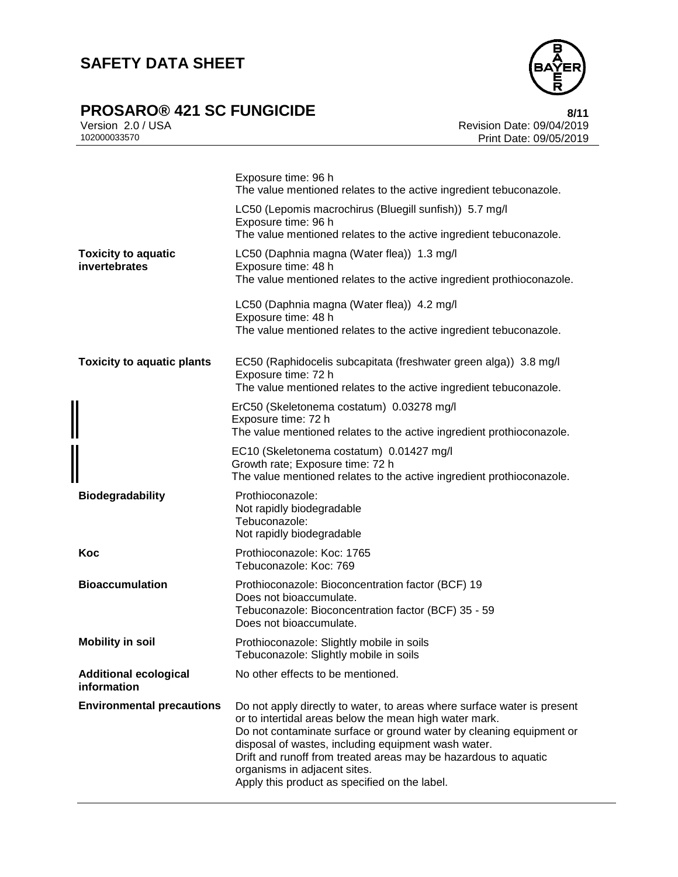# **SAFETY DATA SHEET**

# **PROSARO®** 421 SC FUNGICIDE<br>Version 2.0 / USA **8/11**<br>Revision Date: 09/04/2019



Version 2.0 / USA Revision Date: 09/04/2019 Print Date: 09/05/2019

|                                             | Exposure time: 96 h<br>The value mentioned relates to the active ingredient tebuconazole.                                                                                                                                                                                                                                                                                                                           |
|---------------------------------------------|---------------------------------------------------------------------------------------------------------------------------------------------------------------------------------------------------------------------------------------------------------------------------------------------------------------------------------------------------------------------------------------------------------------------|
|                                             | LC50 (Lepomis macrochirus (Bluegill sunfish)) 5.7 mg/l<br>Exposure time: 96 h<br>The value mentioned relates to the active ingredient tebuconazole.                                                                                                                                                                                                                                                                 |
| <b>Toxicity to aquatic</b><br>invertebrates | LC50 (Daphnia magna (Water flea)) 1.3 mg/l<br>Exposure time: 48 h<br>The value mentioned relates to the active ingredient prothioconazole.                                                                                                                                                                                                                                                                          |
|                                             | LC50 (Daphnia magna (Water flea)) 4.2 mg/l<br>Exposure time: 48 h<br>The value mentioned relates to the active ingredient tebuconazole.                                                                                                                                                                                                                                                                             |
| <b>Toxicity to aquatic plants</b>           | EC50 (Raphidocelis subcapitata (freshwater green alga)) 3.8 mg/l<br>Exposure time: 72 h<br>The value mentioned relates to the active ingredient tebuconazole.                                                                                                                                                                                                                                                       |
|                                             | ErC50 (Skeletonema costatum) 0.03278 mg/l<br>Exposure time: 72 h<br>The value mentioned relates to the active ingredient prothioconazole.                                                                                                                                                                                                                                                                           |
|                                             | EC10 (Skeletonema costatum) 0.01427 mg/l<br>Growth rate; Exposure time: 72 h<br>The value mentioned relates to the active ingredient prothioconazole.                                                                                                                                                                                                                                                               |
| <b>Biodegradability</b>                     | Prothioconazole:<br>Not rapidly biodegradable<br>Tebuconazole:<br>Not rapidly biodegradable                                                                                                                                                                                                                                                                                                                         |
| Koc                                         | Prothioconazole: Koc: 1765<br>Tebuconazole: Koc: 769                                                                                                                                                                                                                                                                                                                                                                |
| <b>Bioaccumulation</b>                      | Prothioconazole: Bioconcentration factor (BCF) 19<br>Does not bioaccumulate.<br>Tebuconazole: Bioconcentration factor (BCF) 35 - 59<br>Does not bioaccumulate.                                                                                                                                                                                                                                                      |
| <b>Mobility in soil</b>                     | Prothioconazole: Slightly mobile in soils<br>Tebuconazole: Slightly mobile in soils                                                                                                                                                                                                                                                                                                                                 |
| <b>Additional ecological</b><br>information | No other effects to be mentioned.                                                                                                                                                                                                                                                                                                                                                                                   |
| <b>Environmental precautions</b>            | Do not apply directly to water, to areas where surface water is present<br>or to intertidal areas below the mean high water mark.<br>Do not contaminate surface or ground water by cleaning equipment or<br>disposal of wastes, including equipment wash water.<br>Drift and runoff from treated areas may be hazardous to aquatic<br>organisms in adjacent sites.<br>Apply this product as specified on the label. |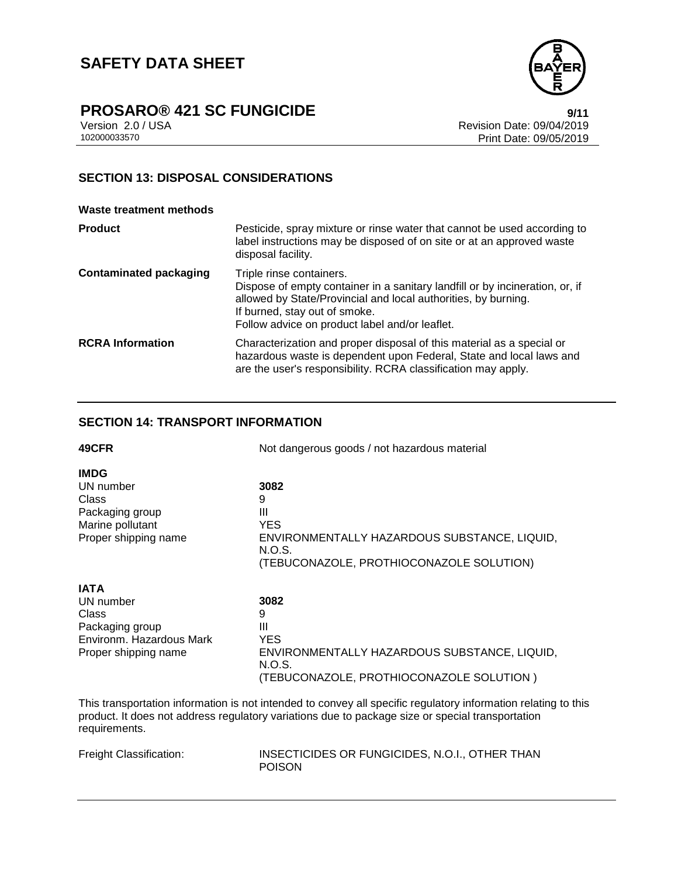

Version 2.0 / USA Revision Date: 09/04/2019 Print Date: 09/05/2019

# **SECTION 13: DISPOSAL CONSIDERATIONS**

### **Waste treatment methods**

| <b>Product</b>                | Pesticide, spray mixture or rinse water that cannot be used according to<br>label instructions may be disposed of on site or at an approved waste<br>disposal facility.                                                                                       |
|-------------------------------|---------------------------------------------------------------------------------------------------------------------------------------------------------------------------------------------------------------------------------------------------------------|
| <b>Contaminated packaging</b> | Triple rinse containers.<br>Dispose of empty container in a sanitary landfill or by incineration, or, if<br>allowed by State/Provincial and local authorities, by burning.<br>If burned, stay out of smoke.<br>Follow advice on product label and/or leaflet. |
| <b>RCRA</b> Information       | Characterization and proper disposal of this material as a special or<br>hazardous waste is dependent upon Federal, State and local laws and<br>are the user's responsibility. RCRA classification may apply.                                                 |

# **SECTION 14: TRANSPORT INFORMATION**

| 49CFR                    | Not dangerous goods / not hazardous material |  |
|--------------------------|----------------------------------------------|--|
| <b>IMDG</b>              |                                              |  |
| UN number                | 3082                                         |  |
| Class                    | 9                                            |  |
| Packaging group          | Ш                                            |  |
| Marine pollutant         | <b>YES</b>                                   |  |
| Proper shipping name     | ENVIRONMENTALLY HAZARDOUS SUBSTANCE, LIQUID, |  |
|                          | N.O.S.                                       |  |
|                          | (TEBUCONAZOLE, PROTHIOCONAZOLE SOLUTION)     |  |
| <b>IATA</b>              |                                              |  |
| UN number                | 3082                                         |  |
| Class                    | 9                                            |  |
| Packaging group          | Ш                                            |  |
| Environm. Hazardous Mark | YES.                                         |  |
| Proper shipping name     | ENVIRONMENTALLY HAZARDOUS SUBSTANCE, LIQUID, |  |
|                          | N.O.S.                                       |  |
|                          | (TEBUCONAZOLE, PROTHIOCONAZOLE SOLUTION )    |  |

This transportation information is not intended to convey all specific regulatory information relating to this product. It does not address regulatory variations due to package size or special transportation requirements.

| <b>Freight Classification:</b> |  |
|--------------------------------|--|
|--------------------------------|--|

INSECTICIDES OR FUNGICIDES, N.O.I., OTHER THAN POISON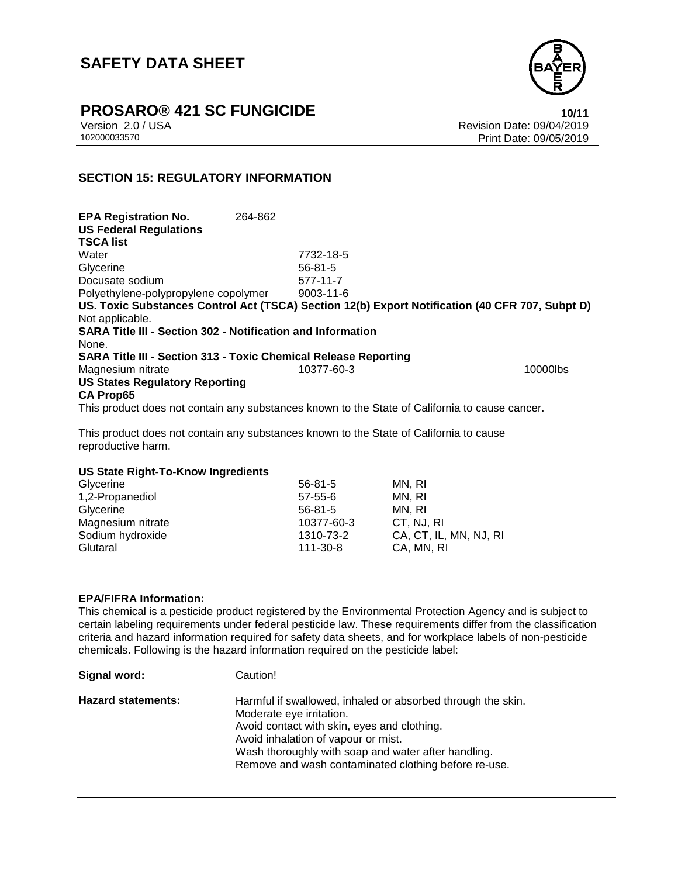# **SAFETY DATA SHEET**



**PROSARO®** 421 SC FUNGICIDE **10/11** 

Version 2.0 / USA Revision Date: 09/04/2019<br>102000033570<br>Print Date: 09/05/2019 Print Date: 09/05/2019

# **SECTION 15: REGULATORY INFORMATION**

**EPA Registration No.** 264-862 **US Federal Regulations TSCA list** Water 7732-18-5 Glycerine 56-81-5 Docusate sodium 577-11-7 Polyethylene-polypropylene copolymer 9003-11-6 **US. Toxic Substances Control Act (TSCA) Section 12(b) Export Notification (40 CFR 707, Subpt D)** Not applicable. **SARA Title III - Section 302 - Notification and Information** None. **SARA Title III - Section 313 - Toxic Chemical Release Reporting** Magnesium nitrate 10377-60-3 **US States Regulatory Reporting CA Prop65**

This product does not contain any substances known to the State of California to cause cancer.

This product does not contain any substances known to the State of California to cause reproductive harm.

### **US State Right-To-Know Ingredients**

| Glycerine         | 56-81-5        | MN. RI                 |
|-------------------|----------------|------------------------|
| 1,2-Propanediol   | $57 - 55 - 6$  | MN. RI                 |
| Glycerine         | $56 - 81 - 5$  | MN. RI                 |
| Magnesium nitrate | 10377-60-3     | CT. NJ. RI             |
| Sodium hydroxide  | 1310-73-2      | CA, CT, IL, MN, NJ, RI |
| Glutaral          | $111 - 30 - 8$ | CA, MN, RI             |

### **EPA/FIFRA Information:**

This chemical is a pesticide product registered by the Environmental Protection Agency and is subject to certain labeling requirements under federal pesticide law. These requirements differ from the classification criteria and hazard information required for safety data sheets, and for workplace labels of non-pesticide chemicals. Following is the hazard information required on the pesticide label:

| Signal word:              | Caution!                                                                                                                                                                                                                                                                                     |
|---------------------------|----------------------------------------------------------------------------------------------------------------------------------------------------------------------------------------------------------------------------------------------------------------------------------------------|
| <b>Hazard statements:</b> | Harmful if swallowed, inhaled or absorbed through the skin.<br>Moderate eye irritation.<br>Avoid contact with skin, eyes and clothing.<br>Avoid inhalation of vapour or mist.<br>Wash thoroughly with soap and water after handling.<br>Remove and wash contaminated clothing before re-use. |